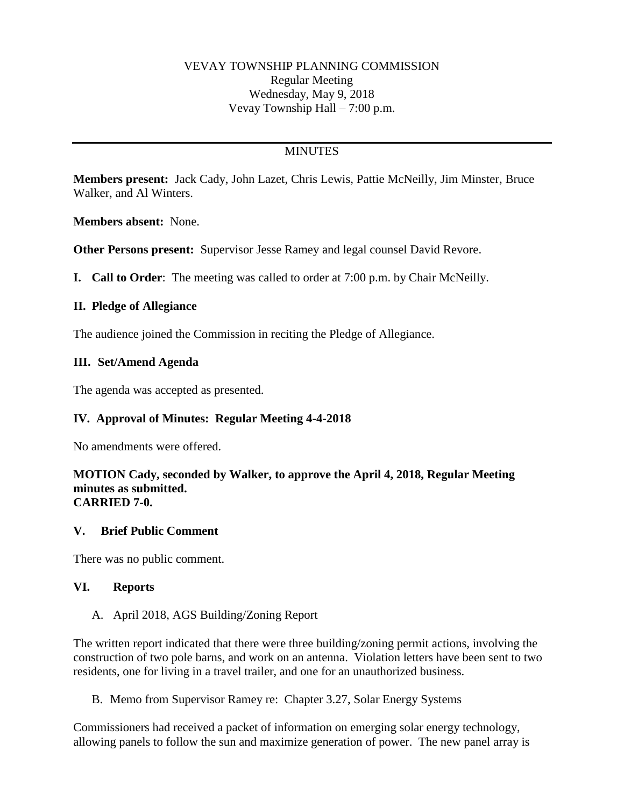### VEVAY TOWNSHIP PLANNING COMMISSION Regular Meeting Wednesday, May 9, 2018 Vevay Township Hall – 7:00 p.m.

## **MINUTES**

**Members present:** Jack Cady, John Lazet, Chris Lewis, Pattie McNeilly, Jim Minster, Bruce Walker, and Al Winters.

**Members absent:** None.

**Other Persons present:** Supervisor Jesse Ramey and legal counsel David Revore.

**I. Call to Order**: The meeting was called to order at 7:00 p.m. by Chair McNeilly.

### **II. Pledge of Allegiance**

The audience joined the Commission in reciting the Pledge of Allegiance.

### **III. Set/Amend Agenda**

The agenda was accepted as presented.

### **IV. Approval of Minutes: Regular Meeting 4-4-2018**

No amendments were offered.

#### **MOTION Cady, seconded by Walker, to approve the April 4, 2018, Regular Meeting minutes as submitted. CARRIED 7-0.**

### **V. Brief Public Comment**

There was no public comment.

### **VI. Reports**

### A. April 2018, AGS Building/Zoning Report

The written report indicated that there were three building/zoning permit actions, involving the construction of two pole barns, and work on an antenna. Violation letters have been sent to two residents, one for living in a travel trailer, and one for an unauthorized business.

B. Memo from Supervisor Ramey re: Chapter 3.27, Solar Energy Systems

Commissioners had received a packet of information on emerging solar energy technology, allowing panels to follow the sun and maximize generation of power. The new panel array is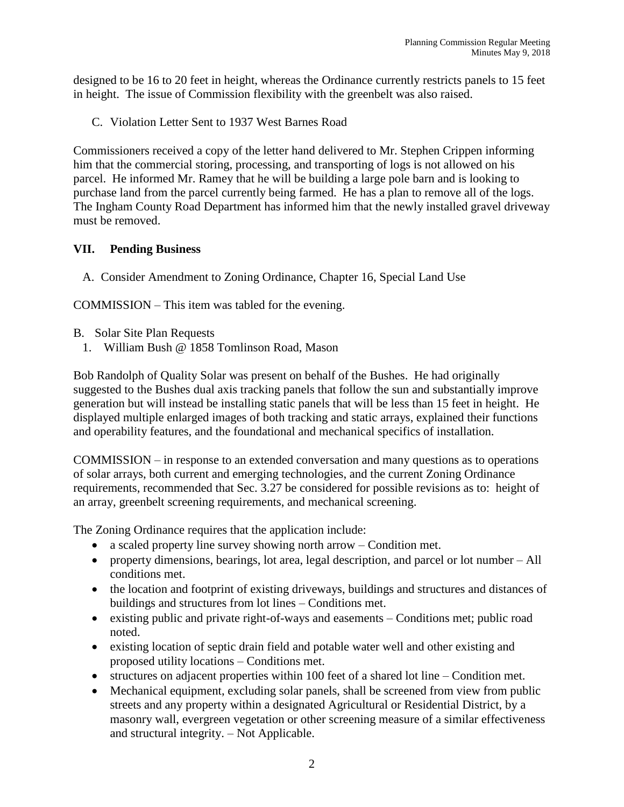designed to be 16 to 20 feet in height, whereas the Ordinance currently restricts panels to 15 feet in height. The issue of Commission flexibility with the greenbelt was also raised.

C. Violation Letter Sent to 1937 West Barnes Road

Commissioners received a copy of the letter hand delivered to Mr. Stephen Crippen informing him that the commercial storing, processing, and transporting of logs is not allowed on his parcel. He informed Mr. Ramey that he will be building a large pole barn and is looking to purchase land from the parcel currently being farmed. He has a plan to remove all of the logs. The Ingham County Road Department has informed him that the newly installed gravel driveway must be removed.

## **VII. Pending Business**

A. Consider Amendment to Zoning Ordinance, Chapter 16, Special Land Use

COMMISSION – This item was tabled for the evening.

- B. Solar Site Plan Requests
	- 1. William Bush @ 1858 Tomlinson Road, Mason

Bob Randolph of Quality Solar was present on behalf of the Bushes. He had originally suggested to the Bushes dual axis tracking panels that follow the sun and substantially improve generation but will instead be installing static panels that will be less than 15 feet in height. He displayed multiple enlarged images of both tracking and static arrays, explained their functions and operability features, and the foundational and mechanical specifics of installation.

COMMISSION – in response to an extended conversation and many questions as to operations of solar arrays, both current and emerging technologies, and the current Zoning Ordinance requirements, recommended that Sec. 3.27 be considered for possible revisions as to: height of an array, greenbelt screening requirements, and mechanical screening.

The Zoning Ordinance requires that the application include:

- a scaled property line survey showing north arrow Condition met.
- property dimensions, bearings, lot area, legal description, and parcel or lot number All conditions met.
- the location and footprint of existing driveways, buildings and structures and distances of buildings and structures from lot lines – Conditions met.
- existing public and private right-of-ways and easements Conditions met; public road noted.
- existing location of septic drain field and potable water well and other existing and proposed utility locations – Conditions met.
- structures on adjacent properties within 100 feet of a shared lot line Condition met.
- Mechanical equipment, excluding solar panels, shall be screened from view from public streets and any property within a designated Agricultural or Residential District, by a masonry wall, evergreen vegetation or other screening measure of a similar effectiveness and structural integrity. – Not Applicable.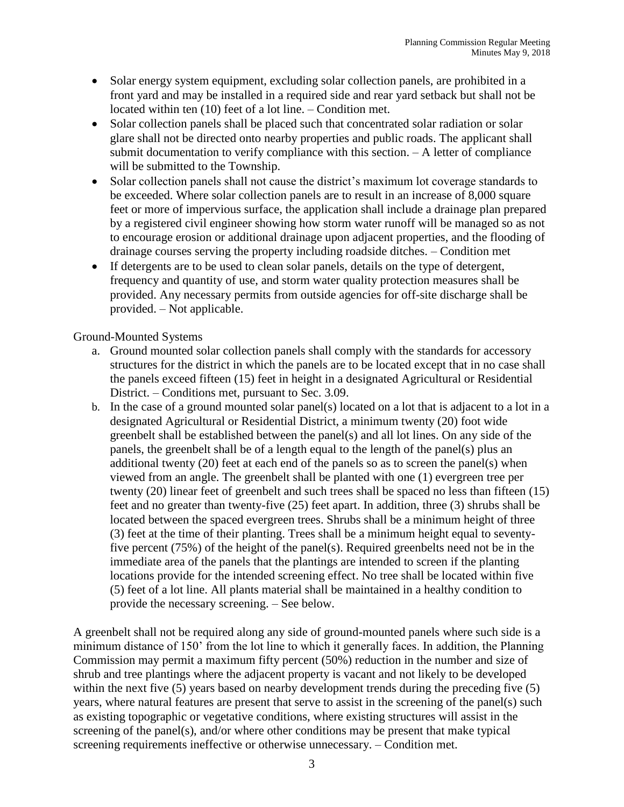- Solar energy system equipment, excluding solar collection panels, are prohibited in a front yard and may be installed in a required side and rear yard setback but shall not be located within ten (10) feet of a lot line. – Condition met.
- Solar collection panels shall be placed such that concentrated solar radiation or solar glare shall not be directed onto nearby properties and public roads. The applicant shall submit documentation to verify compliance with this section. – A letter of compliance will be submitted to the Township.
- Solar collection panels shall not cause the district's maximum lot coverage standards to be exceeded. Where solar collection panels are to result in an increase of 8,000 square feet or more of impervious surface, the application shall include a drainage plan prepared by a registered civil engineer showing how storm water runoff will be managed so as not to encourage erosion or additional drainage upon adjacent properties, and the flooding of drainage courses serving the property including roadside ditches. – Condition met
- If detergents are to be used to clean solar panels, details on the type of detergent, frequency and quantity of use, and storm water quality protection measures shall be provided. Any necessary permits from outside agencies for off-site discharge shall be provided. – Not applicable.

Ground-Mounted Systems

- a. Ground mounted solar collection panels shall comply with the standards for accessory structures for the district in which the panels are to be located except that in no case shall the panels exceed fifteen (15) feet in height in a designated Agricultural or Residential District. – Conditions met, pursuant to Sec. 3.09.
- b. In the case of a ground mounted solar panel(s) located on a lot that is adjacent to a lot in a designated Agricultural or Residential District, a minimum twenty (20) foot wide greenbelt shall be established between the panel(s) and all lot lines. On any side of the panels, the greenbelt shall be of a length equal to the length of the panel(s) plus an additional twenty (20) feet at each end of the panels so as to screen the panel(s) when viewed from an angle. The greenbelt shall be planted with one (1) evergreen tree per twenty (20) linear feet of greenbelt and such trees shall be spaced no less than fifteen (15) feet and no greater than twenty-five (25) feet apart. In addition, three (3) shrubs shall be located between the spaced evergreen trees. Shrubs shall be a minimum height of three (3) feet at the time of their planting. Trees shall be a minimum height equal to seventyfive percent (75%) of the height of the panel(s). Required greenbelts need not be in the immediate area of the panels that the plantings are intended to screen if the planting locations provide for the intended screening effect. No tree shall be located within five (5) feet of a lot line. All plants material shall be maintained in a healthy condition to provide the necessary screening. – See below.

A greenbelt shall not be required along any side of ground-mounted panels where such side is a minimum distance of 150' from the lot line to which it generally faces. In addition, the Planning Commission may permit a maximum fifty percent (50%) reduction in the number and size of shrub and tree plantings where the adjacent property is vacant and not likely to be developed within the next five (5) years based on nearby development trends during the preceding five (5) years, where natural features are present that serve to assist in the screening of the panel(s) such as existing topographic or vegetative conditions, where existing structures will assist in the screening of the panel(s), and/or where other conditions may be present that make typical screening requirements ineffective or otherwise unnecessary. – Condition met.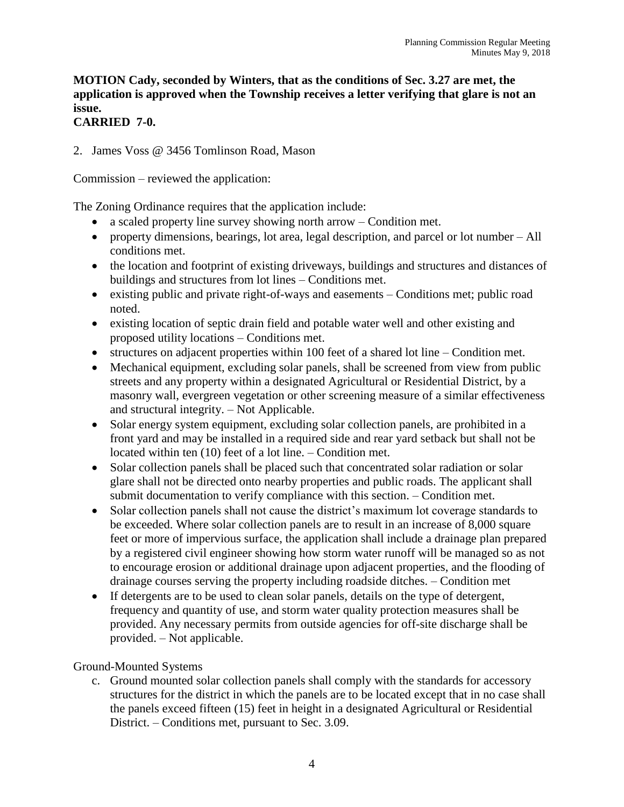# **MOTION Cady, seconded by Winters, that as the conditions of Sec. 3.27 are met, the application is approved when the Township receives a letter verifying that glare is not an issue.**

# **CARRIED 7-0.**

2. James Voss @ 3456 Tomlinson Road, Mason

Commission – reviewed the application:

The Zoning Ordinance requires that the application include:

- a scaled property line survey showing north arrow Condition met.
- property dimensions, bearings, lot area, legal description, and parcel or lot number All conditions met.
- the location and footprint of existing driveways, buildings and structures and distances of buildings and structures from lot lines – Conditions met.
- existing public and private right-of-ways and easements Conditions met; public road noted.
- existing location of septic drain field and potable water well and other existing and proposed utility locations – Conditions met.
- structures on adjacent properties within 100 feet of a shared lot line Condition met.
- Mechanical equipment, excluding solar panels, shall be screened from view from public streets and any property within a designated Agricultural or Residential District, by a masonry wall, evergreen vegetation or other screening measure of a similar effectiveness and structural integrity. – Not Applicable.
- Solar energy system equipment, excluding solar collection panels, are prohibited in a front yard and may be installed in a required side and rear yard setback but shall not be located within ten (10) feet of a lot line. – Condition met.
- Solar collection panels shall be placed such that concentrated solar radiation or solar glare shall not be directed onto nearby properties and public roads. The applicant shall submit documentation to verify compliance with this section. – Condition met.
- Solar collection panels shall not cause the district's maximum lot coverage standards to be exceeded. Where solar collection panels are to result in an increase of 8,000 square feet or more of impervious surface, the application shall include a drainage plan prepared by a registered civil engineer showing how storm water runoff will be managed so as not to encourage erosion or additional drainage upon adjacent properties, and the flooding of drainage courses serving the property including roadside ditches. – Condition met
- If detergents are to be used to clean solar panels, details on the type of detergent, frequency and quantity of use, and storm water quality protection measures shall be provided. Any necessary permits from outside agencies for off-site discharge shall be provided. – Not applicable.

# Ground-Mounted Systems

c. Ground mounted solar collection panels shall comply with the standards for accessory structures for the district in which the panels are to be located except that in no case shall the panels exceed fifteen (15) feet in height in a designated Agricultural or Residential District. – Conditions met, pursuant to Sec. 3.09.